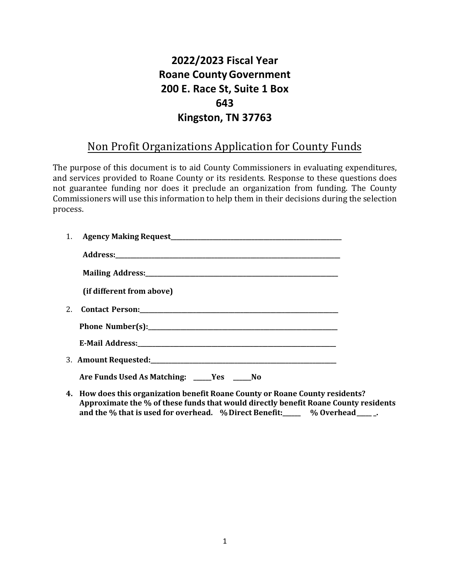## **2022/2023 Fiscal Year Roane CountyGovernment 200 E. Race St, Suite 1 Box 643 Kingston, TN 37763**

## Non Profit Organizations Application for County Funds

The purpose of this document is to aid County Commissioners in evaluating expenditures, and services provided to Roane County or its residents. Response to these questions does not guarantee funding nor does it preclude an organization from funding. The County Commissioners will use this information to help them in their decisions during the selection process.

| (if different from above)                                                    |
|------------------------------------------------------------------------------|
|                                                                              |
|                                                                              |
|                                                                              |
|                                                                              |
| Are Funds Used As Matching: _____Yes _____No                                 |
| 1. Hour does this overwizetign housfit Deans County on Deans County resident |

**4. How does this organization benefit Roane County or Roane County residents? Approximate the % of these funds that would directly benefit Roane County residents and the % that is used for overhead. %Direct Benefit:\_\_\_\_\_\_ % Overhead\_\_\_\_\_ \_.**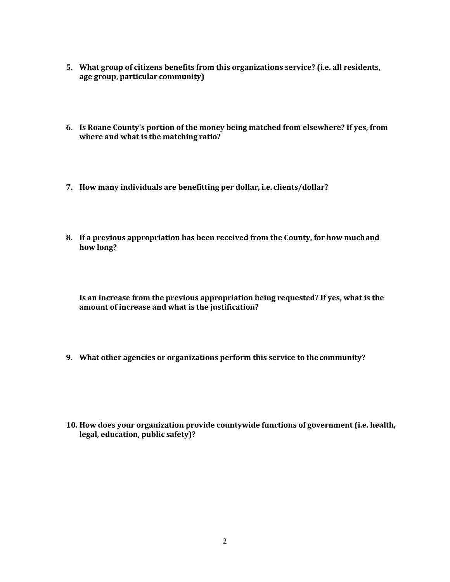- **5. What group of citizens benefits from this organizations service? (i.e. all residents, age group, particular community)**
- **6. Is Roane County's portion of the money being matched from elsewhere? If yes, from where and what is the matching ratio?**
- **7. How many individuals are benefitting per dollar, i.e. clients/dollar?**
- **8. If a previous appropriation has been received from the County, for how muchand how long?**

**Is an increase from the previous appropriation being requested? If yes, what is the amount of increase and what is the justification?**

- **9. What other agencies or organizations perform this service to thecommunity?**
- **10. How does your organization provide countywide functions of government (i.e. health, legal, education, public safety)?**